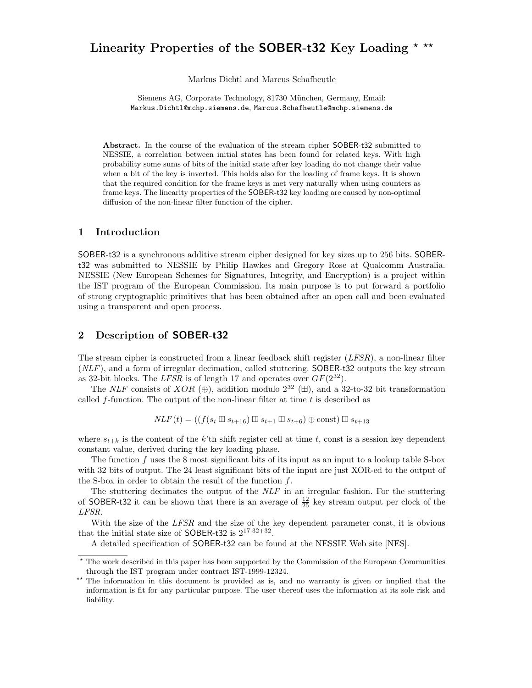# Linearity Properties of the **SOBER-t32** Key Loading  $*$  \*\*

Markus Dichtl and Marcus Schafheutle

Siemens AG, Corporate Technology, 81730 München, Germany, Email: Markus.Dichtl@mchp.siemens.de, Marcus.Schafheutle@mchp.siemens.de

Abstract. In the course of the evaluation of the stream cipher SOBER-t32 submitted to NESSIE, a correlation between initial states has been found for related keys. With high probability some sums of bits of the initial state after key loading do not change their value when a bit of the key is inverted. This holds also for the loading of frame keys. It is shown that the required condition for the frame keys is met very naturally when using counters as frame keys. The linearity properties of the SOBER-t32 key loading are caused by non-optimal diffusion of the non-linear filter function of the cipher.

#### 1 Introduction

SOBER-t32 is a synchronous additive stream cipher designed for key sizes up to 256 bits. SOBERt32 was submitted to NESSIE by Philip Hawkes and Gregory Rose at Qualcomm Australia. NESSIE (New European Schemes for Signatures, Integrity, and Encryption) is a project within the IST program of the European Commission. Its main purpose is to put forward a portfolio of strong cryptographic primitives that has been obtained after an open call and been evaluated using a transparent and open process.

### 2 Description of SOBER-t32

The stream cipher is constructed from a linear feedback shift register  $(LFSR)$ , a non-linear filter (NLF), and a form of irregular decimation, called stuttering. SOBER-t32 outputs the key stream as 32-bit blocks. The LFSR is of length 17 and operates over  $GF(2^{32})$ .

The NLF consists of XOR  $(\oplus)$ , addition modulo  $2^{32}$  ( $\boxplus$ ), and a 32-to-32 bit transformation called  $f$ -function. The output of the non-linear filter at time  $t$  is described as

$$
NLF(t) = ((f(s_t \boxplus s_{t+16}) \boxplus s_{t+1} \boxplus s_{t+6}) \oplus \text{const}) \boxplus s_{t+13}
$$

where  $s_{t+k}$  is the content of the k'th shift register cell at time t, const is a session key dependent constant value, derived during the key loading phase.

The function f uses the 8 most significant bits of its input as an input to a lookup table S-box with 32 bits of output. The 24 least significant bits of the input are just XOR-ed to the output of the S-box in order to obtain the result of the function  $f$ .

The stuttering decimates the output of the NLF in an irregular fashion. For the stuttering of SOBER-t32 it can be shown that there is an average of  $\frac{12}{25}$  key stream output per clock of the LFSR.

With the size of the LFSR and the size of the key dependent parameter const, it is obvious that the initial state size of SOBER-t32 is  $2^{17 \cdot 32 + 32}$ .

A detailed specification of SOBER-t32 can be found at the NESSIE Web site [NES].

<sup>?</sup> The work described in this paper has been supported by the Commission of the European Communities through the IST program under contract IST-1999-12324.

<sup>\*\*</sup> The information in this document is provided as is, and no warranty is given or implied that the information is fit for any particular purpose. The user thereof uses the information at its sole risk and liability.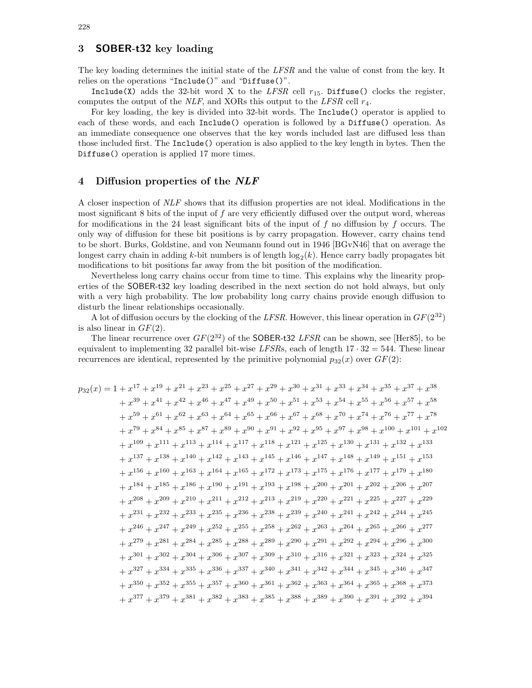## 3 SOBER-t32 key loading

The key loading determines the initial state of the LFSR and the value of const from the key. It relies on the operations "Include()" and "Diffuse()".

Include(X) adds the 32-bit word X to the LFSR cell  $r_{15}$ . Diffuse() clocks the register, computes the output of the NLF, and XORs this output to the LFSR cell  $r_4$ .

For key loading, the key is divided into 32-bit words. The Include() operator is applied to each of these words, and each Include() operation is followed by a Diffuse() operation. As an immediate consequence one observes that the key words included last are diffused less than those included first. The Include() operation is also applied to the key length in bytes. Then the Diffuse() operation is applied 17 more times.

#### 4 Diffusion properties of the NLF

A closer inspection of NLF shows that its diffusion properties are not ideal. Modifications in the most significant 8 bits of the input of  $f$  are very efficiently diffused over the output word, whereas for modifications in the 24 least significant bits of the input of  $f$  no diffusion by  $f$  occurs. The only way of diffusion for these bit positions is by carry propagation. However, carry chains tend to be short. Burks, Goldstine, and von Neumann found out in 1946 [BGvN46] that on average the longest carry chain in adding k-bit numbers is of length  $\log_2(k)$ . Hence carry badly propagates bit modifications to bit positions far away from the bit position of the modification.

Nevertheless long carry chains occur from time to time. This explains why the linearity properties of the SOBER-t32 key loading described in the next section do not hold always, but only with a very high probability. The low probability long carry chains provide enough diffusion to disturb the linear relationships occasionally.

A lot of diffusion occurs by the clocking of the LFSR. However, this linear operation in  $GF(2^{32})$ is also linear in  $GF(2)$ .

The linear recurrence over  $GF(2^{32})$  of the SOBER-t32 LFSR can be shown, see [Her85], to be equivalent to implementing 32 parallel bit-wise LFSRs, each of length  $17 \cdot 32 = 544$ . These linear recurrences are identical, represented by the primitive polynomial  $p_{32}(x)$  over  $GF(2)$ :

 $p_{32}(x) = 1 + x^{17} + x^{19} + x^{21} + x^{23} + x^{25} + x^{27} + x^{29} + x^{30} + x^{31} + x^{33} + x^{34} + x^{35} + x^{37} + x^{38}$  $+x^{39} + x^{41} + x^{42} + x^{46} + x^{47} + x^{49} + x^{50} + x^{51} + x^{53} + x^{54} + x^{55} + x^{56} + x^{57} + x^{58}$  $+ x^{59} + x^{61} + x^{62} + x^{63} + x^{64} + x^{65} + x^{66} + x^{67} + x^{68} + x^{70} + x^{74} + x^{76} + x^{77} + x^{78}$  $+ x^{79} + x^{84} + x^{85} + x^{87} + x^{89} + x^{90} + x^{91} + x^{92} + x^{95} + x^{97} + x^{98} + x^{100} + x^{101} + x^{102}$  $+ x^{109} + x^{111} + x^{113} + x^{114} + x^{117} + x^{118} + x^{121} + x^{125} + x^{130} + x^{131} + x^{132} + x^{133}$  $+ x^{137} + x^{138} + x^{140} + x^{142} + x^{143} + x^{145} + x^{146} + x^{147} + x^{148} + x^{149} + x^{151} + x^{153}$  $+ x^{156} + x^{160} + x^{163} + x^{164} + x^{165} + x^{172} + x^{173} + x^{175} + x^{176} + x^{177} + x^{179} + x^{180}$  $+ x^{184} + x^{185} + x^{186} + x^{190} + x^{191} + x^{193} + x^{198} + x^{200} + x^{201} + x^{202} + x^{206} + x^{207}$  $+ x^{208} + x^{209} + x^{210} + x^{211} + x^{212} + x^{213} + x^{219} + x^{220} + x^{221} + x^{225} + x^{227} + x^{229}$  $+ x^{231} + x^{232} + x^{233} + x^{235} + x^{236} + x^{238} + x^{239} + x^{240} + x^{241} + x^{242} + x^{244} + x^{245}$  $+ x^{246} + x^{247} + x^{249} + x^{252} + x^{255} + x^{258} + x^{262} + x^{263} + x^{264} + x^{265} + x^{266} + x^{277}$  $+ x^{279} + x^{281} + x^{284} + x^{285} + x^{288} + x^{289} + x^{290} + x^{291} + x^{292} + x^{294} + x^{296} + x^{300}$  $+x^{301} + x^{302} + x^{304} + x^{306} + x^{307} + x^{309} + x^{310} + x^{316} + x^{321} + x^{323} + x^{324} + x^{325}$  $+ x^{327} + x^{334} + x^{335} + x^{336} + x^{337} + x^{340} + x^{341} + x^{342} + x^{344} + x^{345} + x^{346} + x^{347}$  $+ x^{350} + x^{352} + x^{355} + x^{357} + x^{360} + x^{361} + x^{362} + x^{363} + x^{364} + x^{365} + x^{368} + x^{373}$  $+ x^{377} + x^{379} + x^{381} + x^{382} + x^{383} + x^{385} + x^{388} + x^{389} + x^{390} + x^{391} + x^{392} + x^{394}$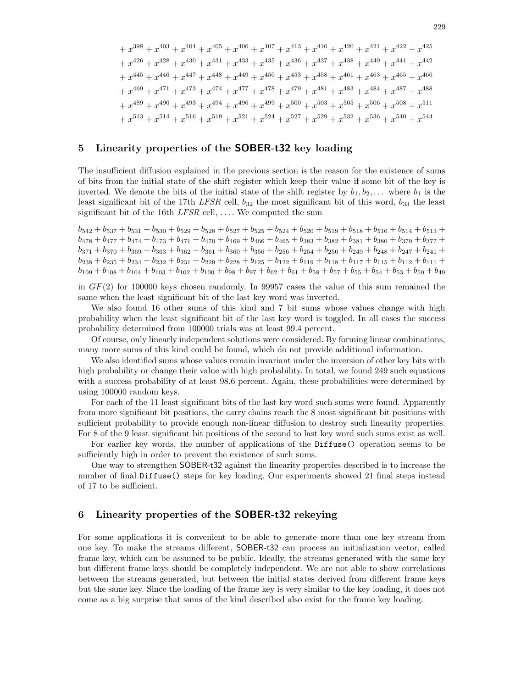$+x^{398} + x^{403} + x^{404} + x^{405} + x^{406} + x^{407} + x^{413} + x^{416} + x^{420} + x^{421} + x^{422} + x^{425}$  $+ x^{426} + x^{428} + x^{430} + x^{431} + x^{433} + x^{435} + x^{436} + x^{437} + x^{438} + x^{440} + x^{441} + x^{442}$  $+ x^{445} + x^{446} + x^{447} + x^{448} + x^{449} + x^{450} + x^{453} + x^{458} + x^{461} + x^{463} + x^{465} + x^{466}$  $+ x^{469} + x^{471} + x^{473} + x^{474} + x^{477} + x^{478} + x^{479} + x^{481} + x^{483} + x^{484} + x^{487} + x^{488}$  $+ x^{489} + x^{490} + x^{493} + x^{494} + x^{496} + x^{499} + x^{500} + x^{503} + x^{505} + x^{506} + x^{508} + x^{511}$  $+ x^{513} + x^{514} + x^{516} + x^{519} + x^{521} + x^{524} + x^{527} + x^{529} + x^{532} + x^{536} + x^{540} + x^{544}$ 

#### 5 Linearity properties of the SOBER-t32 key loading

The insufficient diffusion explained in the previous section is the reason for the existence of sums of bits from the initial state of the shift register which keep their value if some bit of the key is inverted. We denote the bits of the initial state of the shift register by  $b_1, b_2, \ldots$  where  $b_1$  is the least significant bit of the 17th LFSR cell,  $b_{32}$  the most significant bit of this word,  $b_{33}$  the least significant bit of the 16th  $LFSR$  cell, .... We computed the sum

 $b_{542} + b_{537} + b_{531} + b_{530} + b_{529} + b_{528} + b_{527} + b_{525} + b_{524} + b_{520} + b_{519} + b_{518} + b_{516} + b_{514} + b_{513} +$  $b_{478} + b_{477} + b_{474} + b_{473} + b_{471} + b_{470} + b_{469} + b_{466} + b_{465} + b_{383} + b_{382} + b_{381} + b_{380} + b_{379} + b_{377} +$  $b_{371} + b_{370} + b_{369} + b_{363} + b_{362} + b_{361} + b_{360} + b_{356} + b_{256} + b_{254} + b_{250} + b_{249} + b_{248} + b_{247} + b_{241} +$  $b_{238} + b_{235} + b_{234} + b_{232} + b_{231} + b_{229} + b_{228} + b_{125} + b_{122} + b_{119} + b_{118} + b_{117} + b_{115} + b_{112} + b_{111} +$  $b_{109} + b_{108} + b_{104} + b_{103} + b_{102} + b_{100} + b_{98} + b_{97} + b_{62} + b_{61} + b_{58} + b_{57} + b_{55} + b_{54} + b_{53} + b_{50} + b_{49}$ 

in GF(2) for 100000 keys chosen randomly. In 99957 cases the value of this sum remained the same when the least significant bit of the last key word was inverted.

We also found 16 other sums of this kind and 7 bit sums whose values change with high probability when the least significant bit of the last key word is toggled. In all cases the success probability determined from 100000 trials was at least 99.4 percent.

Of course, only linearly independent solutions were considered. By forming linear combinations, many more sums of this kind could be found, which do not provide additional information.

We also identified sums whose values remain invariant under the inversion of other key bits with high probability or change their value with high probability. In total, we found 249 such equations with a success probability of at least 98.6 percent. Again, these probabilities were determined by using 100000 random keys.

For each of the 11 least significant bits of the last key word such sums were found. Apparently from more significant bit positions, the carry chains reach the 8 most significant bit positions with sufficient probability to provide enough non-linear diffusion to destroy such linearity properties. For 8 of the 9 least significant bit positions of the second to last key word such sums exist as well.

For earlier key words, the number of applications of the Diffuse() operation seems to be sufficiently high in order to prevent the existence of such sums.

One way to strengthen SOBER-t32 against the linearity properties described is to increase the number of final Diffuse() steps for key loading. Our experiments showed 21 final steps instead of 17 to be sufficient.

#### 6 Linearity properties of the SOBER-t32 rekeying

For some applications it is convenient to be able to generate more than one key stream from one key. To make the streams different, SOBER-t32 can process an initialization vector, called frame key, which can be assumed to be public. Ideally, the streams generated with the same key but different frame keys should be completely independent. We are not able to show correlations between the streams generated, but between the initial states derived from different frame keys but the same key. Since the loading of the frame key is very similar to the key loading, it does not come as a big surprise that sums of the kind described also exist for the frame key loading.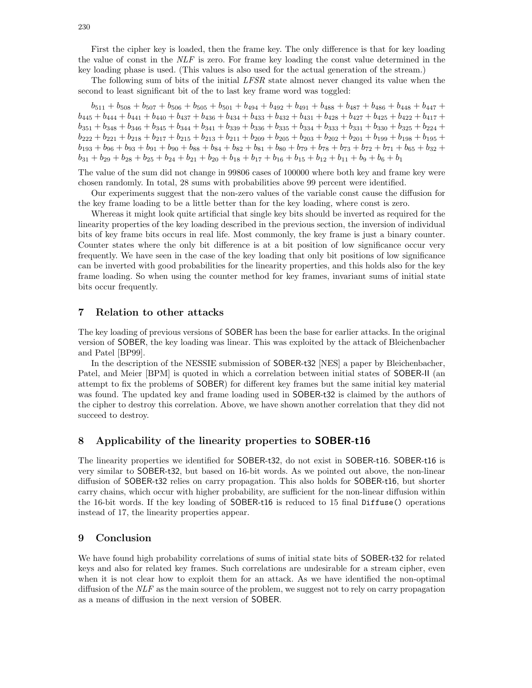First the cipher key is loaded, then the frame key. The only difference is that for key loading the value of const in the  $NLF$  is zero. For frame key loading the const value determined in the key loading phase is used. (This values is also used for the actual generation of the stream.)

The following sum of bits of the initial LFSR state almost never changed its value when the second to least significant bit of the to last key frame word was toggled:

 $b_{511} + b_{508} + b_{507} + b_{506} + b_{505} + b_{501} + b_{494} + b_{492} + b_{491} + b_{488} + b_{487} + b_{486} + b_{448} + b_{447} +$  $b_{445} + b_{444} + b_{441} + b_{440} + b_{437} + b_{436} + b_{434} + b_{433} + b_{432} + b_{431} + b_{428} + b_{427} + b_{425} + b_{422} + b_{417} +$  $b_{351} + b_{348} + b_{346} + b_{345} + b_{344} + b_{341} + b_{339} + b_{336} + b_{335} + b_{334} + b_{333} + b_{331} + b_{330} + b_{325} + b_{224} +$  $b_{222} + b_{221} + b_{218} + b_{217} + b_{215} + b_{213} + b_{211} + b_{209} + b_{205} + b_{203} + b_{202} + b_{201} + b_{199} + b_{198} + b_{195} +$  $b_{193} + b_{96} + b_{93} + b_{91} + b_{90} + b_{88} + b_{84} + b_{82} + b_{81} + b_{80} + b_{79} + b_{78} + b_{73} + b_{72} + b_{71} + b_{65} + b_{32} +$  $b_{31} + b_{29} + b_{28} + b_{25} + b_{24} + b_{21} + b_{20} + b_{18} + b_{17} + b_{16} + b_{15} + b_{12} + b_{11} + b_9 + b_6 + b_1$ 

The value of the sum did not change in 99806 cases of 100000 where both key and frame key were chosen randomly. In total, 28 sums with probabilities above 99 percent were identified.

Our experiments suggest that the non-zero values of the variable const cause the diffusion for the key frame loading to be a little better than for the key loading, where const is zero.

Whereas it might look quite artificial that single key bits should be inverted as required for the linearity properties of the key loading described in the previous section, the inversion of individual bits of key frame bits occurs in real life. Most commonly, the key frame is just a binary counter. Counter states where the only bit difference is at a bit position of low significance occur very frequently. We have seen in the case of the key loading that only bit positions of low significance can be inverted with good probabilities for the linearity properties, and this holds also for the key frame loading. So when using the counter method for key frames, invariant sums of initial state bits occur frequently.

#### 7 Relation to other attacks

The key loading of previous versions of SOBER has been the base for earlier attacks. In the original version of SOBER, the key loading was linear. This was exploited by the attack of Bleichenbacher and Patel [BP99].

In the description of the NESSIE submission of SOBER-t32 [NES] a paper by Bleichenbacher, Patel, and Meier [BPM] is quoted in which a correlation between initial states of SOBER-II (an attempt to fix the problems of SOBER) for different key frames but the same initial key material was found. The updated key and frame loading used in SOBER-t32 is claimed by the authors of the cipher to destroy this correlation. Above, we have shown another correlation that they did not succeed to destroy.

#### 8 Applicability of the linearity properties to SOBER-t16

The linearity properties we identified for SOBER-t32, do not exist in SOBER-t16. SOBER-t16 is very similar to SOBER-t32, but based on 16-bit words. As we pointed out above, the non-linear diffusion of SOBER-t32 relies on carry propagation. This also holds for SOBER-t16, but shorter carry chains, which occur with higher probability, are sufficient for the non-linear diffusion within the 16-bit words. If the key loading of SOBER-t16 is reduced to 15 final Diffuse() operations instead of 17, the linearity properties appear.

#### 9 Conclusion

We have found high probability correlations of sums of initial state bits of SOBER-t32 for related keys and also for related key frames. Such correlations are undesirable for a stream cipher, even when it is not clear how to exploit them for an attack. As we have identified the non-optimal diffusion of the  $NLF$  as the main source of the problem, we suggest not to rely on carry propagation as a means of diffusion in the next version of SOBER.